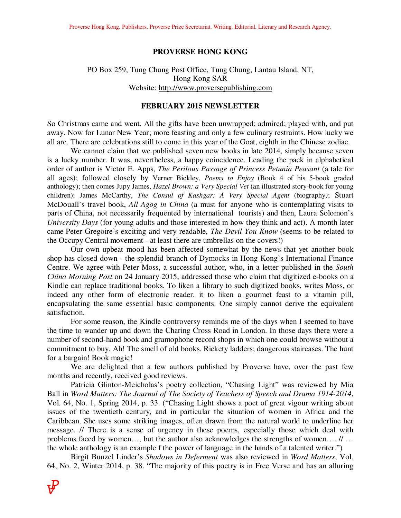### **PROVERSE HONG KONG**

### PO Box 259, Tung Chung Post Office, Tung Chung, Lantau Island, NT, Hong Kong SAR Website: http://www.proversepublishing.com

#### **FEBRUARY 2015 NEWSLETTER**

So Christmas came and went. All the gifts have been unwrapped; admired; played with, and put away. Now for Lunar New Year; more feasting and only a few culinary restraints. How lucky we all are. There are celebrations still to come in this year of the Goat, eighth in the Chinese zodiac.

 We cannot claim that we published seven new books in late 2014, simply because seven is a lucky number. It was, nevertheless, a happy coincidence. Leading the pack in alphabetical order of author is Victor E. Apps, *The Perilous Passage of Princess Petunia Peasant* (a tale for all ages); followed closely by Verner Bickley, *Poems to Enjoy* (Book 4 of his 5-book graded anthology); then comes Jupy James, *Hazel Brown: a Very Special Vet* (an illustrated story-book for young children); James McCarthy, *The Consul of Kashgar: A Very Special Agent* (biography); Stuart McDouall's travel book, *All Agog in China* (a must for anyone who is contemplating visits to parts of China, not necessarily frequented by international tourists) and then, Laura Solomon's *University Days* (for young adults and those interested in how they think and act). A month later came Peter Gregoire's exciting and very readable, *The Devil You Know* (seems to be related to the Occupy Central movement - at least there are umbrellas on the covers!)

 Our own upbeat mood has been affected somewhat by the news that yet another book shop has closed down - the splendid branch of Dymocks in Hong Kong's International Finance Centre. We agree with Peter Moss, a successful author, who, in a letter published in the *South China Morning Post* on 24 January 2015, addressed those who claim that digitized e-books on a Kindle can replace traditional books. To liken a library to such digitized books, writes Moss, or indeed any other form of electronic reader, it to liken a gourmet feast to a vitamin pill, encapsulating the same essential basic components. One simply cannot derive the equivalent satisfaction.

 For some reason, the Kindle controversy reminds me of the days when I seemed to have the time to wander up and down the Charing Cross Road in London. In those days there were a number of second-hand book and gramophone record shops in which one could browse without a commitment to buy. Ah! The smell of old books. Rickety ladders; dangerous staircases. The hunt for a bargain! Book magic!

 We are delighted that a few authors published by Proverse have, over the past few months and recently, received good reviews.

 Patricia Glinton-Meicholas's poetry collection, "Chasing Light" was reviewed by Mia Ball in *Word Matters: The Journal of The Society of Teachers of Speech and Drama 1914-2014*, Vol. 64, No. 1, Spring 2014, p. 33. ("Chasing Light shows a poet of great vigour writing about issues of the twentieth century, and in particular the situation of women in Africa and the Caribbean. She uses some striking images, often drawn from the natural world to underline her message. // There is a sense of urgency in these poems, especially those which deal with problems faced by women…, but the author also acknowledges the strengths of women…. // … the whole anthology is an example f the power of language in the hands of a talented writer.")

Birgit Bunzel Linder's *Shadows in Deferment* was also reviewed in *Word Matters*, Vol. 64, No. 2, Winter 2014, p. 38. "The majority of this poetry is in Free Verse and has an alluring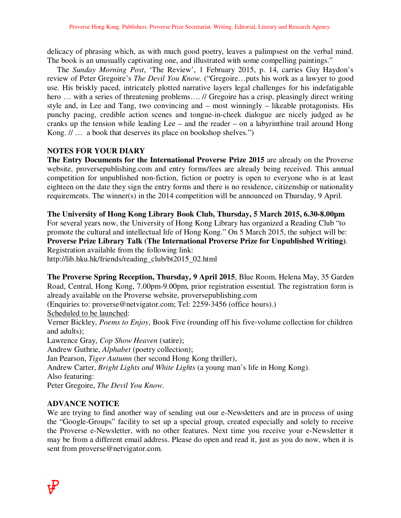delicacy of phrasing which, as with much good poetry, leaves a palimpsest on the verbal mind. The book is an unusually captivating one, and illustrated with some compelling paintings."

 The *Sunday Morning Post*, 'The Review', 1 February 2015, p. 14, carries Guy Haydon's review of Peter Gregoire's *The Devil You Know*. ("Gregoire…puts his work as a lawyer to good use. His briskly paced, intricately plotted narrative layers legal challenges for his indefatigable hero ... with a series of threatening problems.... // Gregoire has a crisp, pleasingly direct writing style and, in Lee and Tang, two convincing and – most winningly – likeable protagonists. His punchy pacing, credible action scenes and tongue-in-cheek dialogue are nicely judged as he cranks up the tension while leading Lee – and the reader – on a labyrinthine trail around Hong Kong. // … a book that deserves its place on bookshop shelves.")

# **NOTES FOR YOUR DIARY**

**The Entry Documents for the International Proverse Prize 2015** are already on the Proverse website, proversepublishing.com and entry forms/fees are already being received. This annual competition for unpublished non-fiction, fiction or poetry is open to everyone who is at least eighteen on the date they sign the entry forms and there is no residence, citizenship or nationality requirements. The winner(s) in the 2014 competition will be announced on Thursday, 9 April.

**The University of Hong Kong Library Book Club, Thursday, 5 March 2015, 6.30-8.00pm** For several years now, the University of Hong Kong Library has organized a Reading Club "to promote the cultural and intellectual life of Hong Kong." On 5 March 2015, the subject will be:

**Proverse Prize Library Talk (The International Proverse Prize for Unpublished Writing)**. Registration available from the following link:

http://lib.hku.hk/friends/reading\_club/bt2015\_02.html

**The Proverse Spring Reception, Thursday, 9 April 2015**, Blue Room, Helena May, 35 Garden Road, Central, Hong Kong, 7.00pm-9.00pm, prior registration essential. The registration form is already available on the Proverse website, proversepublishing.com

(Enquiries to: proverse@netvigator.com; Tel: 2259-3456 (office hours).)

Scheduled to be launched:

Verner Bickley, *Poems to Enjoy*, Book Five (rounding off his five-volume collection for children and adults);

Lawrence Gray, *Cop Show Heaven* (satire);

Andrew Guthrie, *Alphabet* (poetry collection);

Jan Pearson, *Tiger Autumn* (her second Hong Kong thriller),

Andrew Carter, *Bright Lights and White Lights* (a young man's life in Hong Kong).

Also featuring:

Peter Gregoire, *The Devil You Know*.

## **ADVANCE NOTICE**

We are trying to find another way of sending out our e-Newsletters and are in process of using the "Google-Groups" facility to set up a special group, created especially and solely to receive the Proverse e-Newsletter, with no other features. Next time you receive your e-Newsletter it may be from a different email address. Please do open and read it, just as you do now, when it is sent from proverse@netvigator.com.